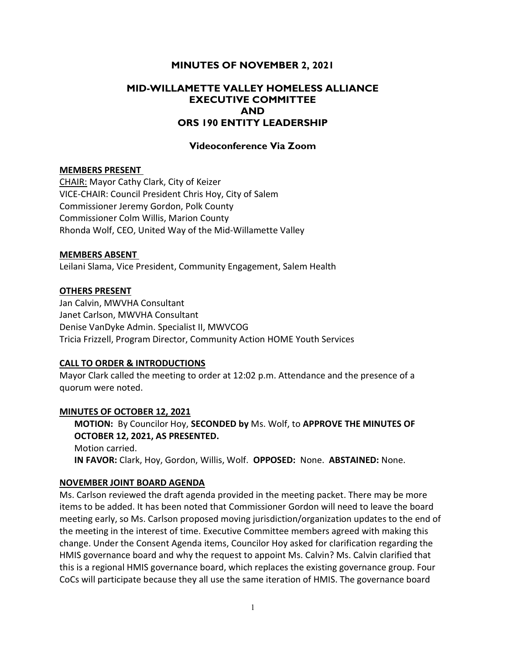# MINUTES OF NOVEMBER 2, 2021

# MID-WILLAMETTE VALLEY HOMELESS ALLIANCE EXECUTIVE COMMITTEE AND ORS 190 ENTITY LEADERSHIP

### Videoconference Via Zoom

### MEMBERS PRESENT

CHAIR: Mayor Cathy Clark, City of Keizer VICE-CHAIR: Council President Chris Hoy, City of Salem Commissioner Jeremy Gordon, Polk County Commissioner Colm Willis, Marion County Rhonda Wolf, CEO, United Way of the Mid-Willamette Valley

#### MEMBERS ABSENT

Leilani Slama, Vice President, Community Engagement, Salem Health

### OTHERS PRESENT

Jan Calvin, MWVHA Consultant Janet Carlson, MWVHA Consultant Denise VanDyke Admin. Specialist II, MWVCOG Tricia Frizzell, Program Director, Community Action HOME Youth Services

### CALL TO ORDER & INTRODUCTIONS

Mayor Clark called the meeting to order at 12:02 p.m. Attendance and the presence of a quorum were noted.

### MINUTES OF OCTOBER 12, 2021

MOTION: By Councilor Hoy, SECONDED by Ms. Wolf, to APPROVE THE MINUTES OF OCTOBER 12, 2021, AS PRESENTED.

Motion carried. IN FAVOR: Clark, Hoy, Gordon, Willis, Wolf. OPPOSED: None. ABSTAINED: None.

### NOVEMBER JOINT BOARD AGENDA

Ms. Carlson reviewed the draft agenda provided in the meeting packet. There may be more items to be added. It has been noted that Commissioner Gordon will need to leave the board meeting early, so Ms. Carlson proposed moving jurisdiction/organization updates to the end of the meeting in the interest of time. Executive Committee members agreed with making this change. Under the Consent Agenda items, Councilor Hoy asked for clarification regarding the HMIS governance board and why the request to appoint Ms. Calvin? Ms. Calvin clarified that this is a regional HMIS governance board, which replaces the existing governance group. Four CoCs will participate because they all use the same iteration of HMIS. The governance board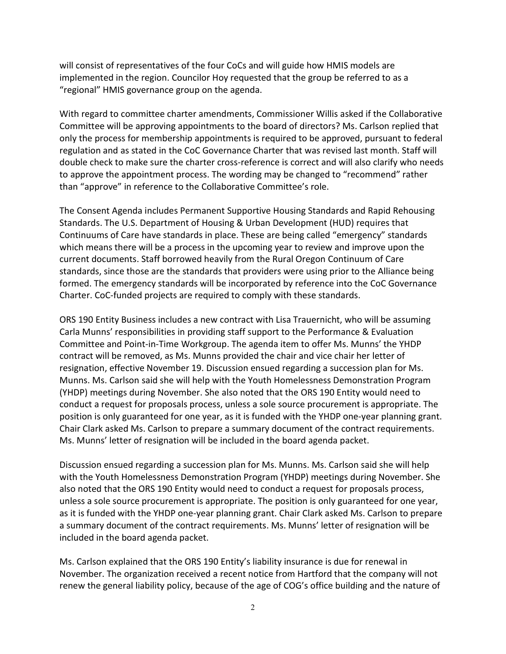will consist of representatives of the four CoCs and will guide how HMIS models are implemented in the region. Councilor Hoy requested that the group be referred to as a "regional" HMIS governance group on the agenda.

With regard to committee charter amendments, Commissioner Willis asked if the Collaborative Committee will be approving appointments to the board of directors? Ms. Carlson replied that only the process for membership appointments is required to be approved, pursuant to federal regulation and as stated in the CoC Governance Charter that was revised last month. Staff will double check to make sure the charter cross-reference is correct and will also clarify who needs to approve the appointment process. The wording may be changed to "recommend" rather than "approve" in reference to the Collaborative Committee's role.

The Consent Agenda includes Permanent Supportive Housing Standards and Rapid Rehousing Standards. The U.S. Department of Housing & Urban Development (HUD) requires that Continuums of Care have standards in place. These are being called "emergency" standards which means there will be a process in the upcoming year to review and improve upon the current documents. Staff borrowed heavily from the Rural Oregon Continuum of Care standards, since those are the standards that providers were using prior to the Alliance being formed. The emergency standards will be incorporated by reference into the CoC Governance Charter. CoC-funded projects are required to comply with these standards.

ORS 190 Entity Business includes a new contract with Lisa Trauernicht, who will be assuming Carla Munns' responsibilities in providing staff support to the Performance & Evaluation Committee and Point-in-Time Workgroup. The agenda item to offer Ms. Munns' the YHDP contract will be removed, as Ms. Munns provided the chair and vice chair her letter of resignation, effective November 19. Discussion ensued regarding a succession plan for Ms. Munns. Ms. Carlson said she will help with the Youth Homelessness Demonstration Program (YHDP) meetings during November. She also noted that the ORS 190 Entity would need to conduct a request for proposals process, unless a sole source procurement is appropriate. The position is only guaranteed for one year, as it is funded with the YHDP one-year planning grant. Chair Clark asked Ms. Carlson to prepare a summary document of the contract requirements. Ms. Munns' letter of resignation will be included in the board agenda packet.

Discussion ensued regarding a succession plan for Ms. Munns. Ms. Carlson said she will help with the Youth Homelessness Demonstration Program (YHDP) meetings during November. She also noted that the ORS 190 Entity would need to conduct a request for proposals process, unless a sole source procurement is appropriate. The position is only guaranteed for one year, as it is funded with the YHDP one-year planning grant. Chair Clark asked Ms. Carlson to prepare a summary document of the contract requirements. Ms. Munns' letter of resignation will be included in the board agenda packet.

Ms. Carlson explained that the ORS 190 Entity's liability insurance is due for renewal in November. The organization received a recent notice from Hartford that the company will not renew the general liability policy, because of the age of COG's office building and the nature of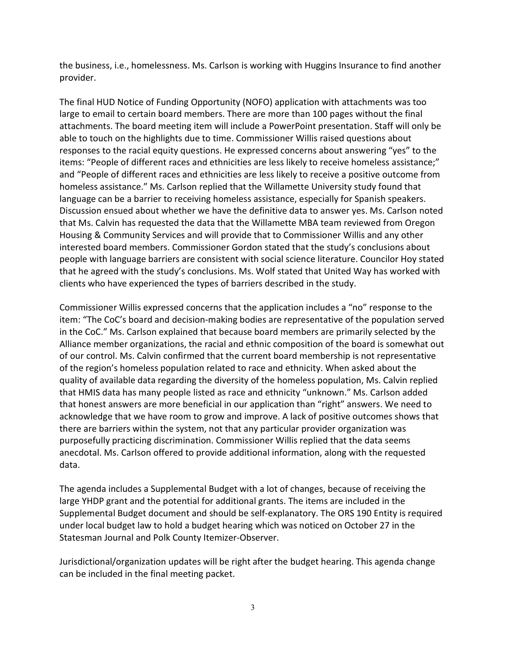the business, i.e., homelessness. Ms. Carlson is working with Huggins Insurance to find another provider.

The final HUD Notice of Funding Opportunity (NOFO) application with attachments was too large to email to certain board members. There are more than 100 pages without the final attachments. The board meeting item will include a PowerPoint presentation. Staff will only be able to touch on the highlights due to time. Commissioner Willis raised questions about responses to the racial equity questions. He expressed concerns about answering "yes" to the items: "People of different races and ethnicities are less likely to receive homeless assistance;" and "People of different races and ethnicities are less likely to receive a positive outcome from homeless assistance." Ms. Carlson replied that the Willamette University study found that language can be a barrier to receiving homeless assistance, especially for Spanish speakers. Discussion ensued about whether we have the definitive data to answer yes. Ms. Carlson noted that Ms. Calvin has requested the data that the Willamette MBA team reviewed from Oregon Housing & Community Services and will provide that to Commissioner Willis and any other interested board members. Commissioner Gordon stated that the study's conclusions about people with language barriers are consistent with social science literature. Councilor Hoy stated that he agreed with the study's conclusions. Ms. Wolf stated that United Way has worked with clients who have experienced the types of barriers described in the study.

Commissioner Willis expressed concerns that the application includes a "no" response to the item: "The CoC's board and decision-making bodies are representative of the population served in the CoC." Ms. Carlson explained that because board members are primarily selected by the Alliance member organizations, the racial and ethnic composition of the board is somewhat out of our control. Ms. Calvin confirmed that the current board membership is not representative of the region's homeless population related to race and ethnicity. When asked about the quality of available data regarding the diversity of the homeless population, Ms. Calvin replied that HMIS data has many people listed as race and ethnicity "unknown." Ms. Carlson added that honest answers are more beneficial in our application than "right" answers. We need to acknowledge that we have room to grow and improve. A lack of positive outcomes shows that there are barriers within the system, not that any particular provider organization was purposefully practicing discrimination. Commissioner Willis replied that the data seems anecdotal. Ms. Carlson offered to provide additional information, along with the requested data.

The agenda includes a Supplemental Budget with a lot of changes, because of receiving the large YHDP grant and the potential for additional grants. The items are included in the Supplemental Budget document and should be self-explanatory. The ORS 190 Entity is required under local budget law to hold a budget hearing which was noticed on October 27 in the Statesman Journal and Polk County Itemizer-Observer.

Jurisdictional/organization updates will be right after the budget hearing. This agenda change can be included in the final meeting packet.